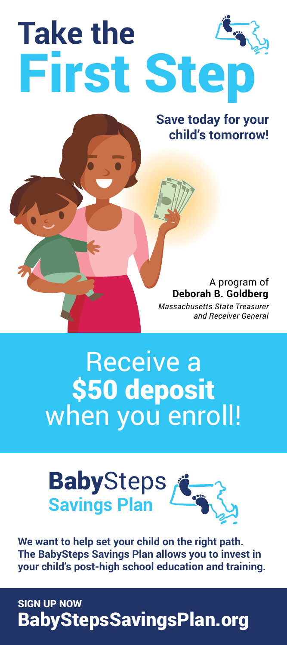## **Take the First Step Savings Plan**

#### **Save today for your child's tomorrow!**

A program of **Deborah B. Goldberg** *Massachusetts State Treasurer and Receiver General*

# Receive a<br>**\$50 deposit** when you enroll!



**We want to help set your child on the right path. The BabySteps Savings Plan allows you to invest in your child's post-high school education and training.**

SIGN UP NOW BabyStepsSavingsPlan.org